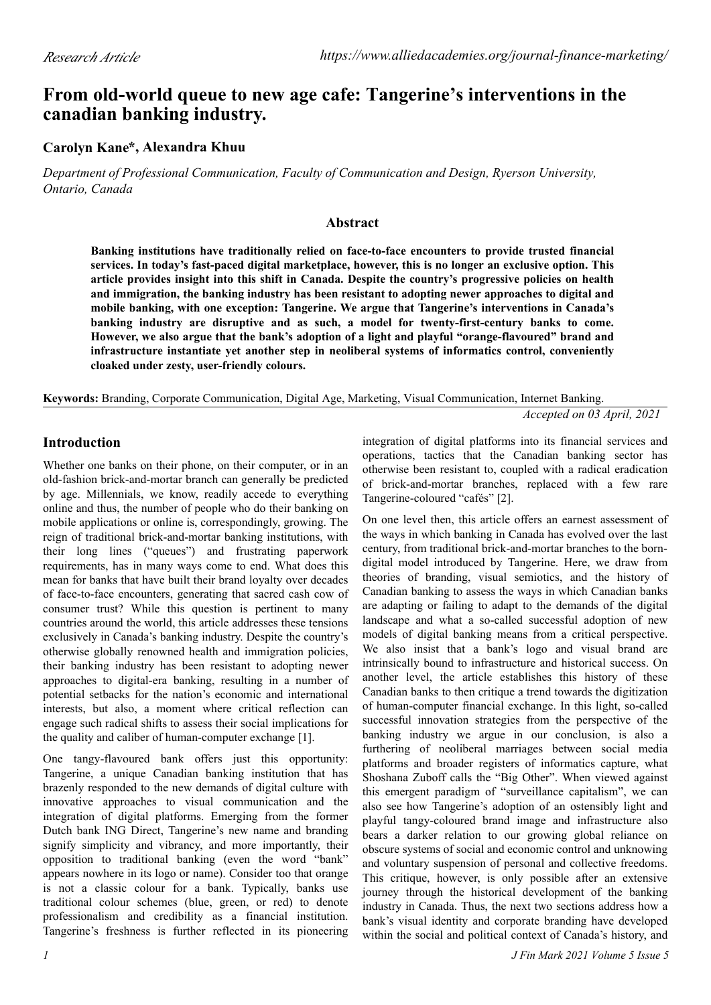# **From old-world queue to new age cafe: Tangerine's interventions in the canadian banking industry.**

## **Carolyn Kane \*, Alexandra Khuu**

*Department of Professional Communication, Faculty of Communication and Design, Ryerson University, Ontario, Canada*

#### **Abstract**

**Banking institutions have traditionally relied on face-to-face encounters to provide trusted financial services. In today's fast-paced digital marketplace, however, this is no longer an exclusive option. This article provides insight into this shift in Canada. Despite the country's progressive policies on health and immigration, the banking industry has been resistant to adopting newer approaches to digital and mobile banking, with one exception: Tangerine. We argue that Tangerine's interventions in Canada's banking industry are disruptive and as such, a model for twenty-first-century banks to come. However, we also argue that the bank's adoption of a light and playful "orange-flavoured" brand and infrastructure instantiate yet another step in neoliberal systems of informatics control, conveniently cloaked under zesty, user-friendly colours.**

**Keywords:** Branding, Corporate Communication, Digital Age, Marketing, Visual Communication, Internet Banking.

*Accepted on 03 April, 2021*

### **Introduction**

Whether one banks on their phone, on their computer, or in an old-fashion brick-and-mortar branch can generally be predicted by age. Millennials, we know, readily accede to everything online and thus, the number of people who do their banking on mobile applications or online is, correspondingly, growing. The reign of traditional brick-and-mortar banking institutions, with their long lines ("queues") and frustrating paperwork requirements, has in many ways come to end. What does this mean for banks that have built their brand loyalty over decades of face-to-face encounters, generating that sacred cash cow of consumer trust? While this question is pertinent to many countries around the world, this article addresses these tensions exclusively in Canada's banking industry. Despite the country's otherwise globally renowned health and immigration policies, their banking industry has been resistant to adopting newer approaches to digital-era banking, resulting in a number of potential setbacks for the nation's economic and international interests, but also, a moment where critical reflection can engage such radical shifts to assess their social implications for the quality and caliber of human-computer exchange [1].

One tangy-flavoured bank offers just this opportunity: Tangerine, a unique Canadian banking institution that has brazenly responded to the new demands of digital culture with innovative approaches to visual communication and the integration of digital platforms. Emerging from the former Dutch bank ING Direct, Tangerine's new name and branding signify simplicity and vibrancy, and more importantly, their opposition to traditional banking (even the word "bank" appears nowhere in its logo or name). Consider too that orange is not a classic colour for a bank. Typically, banks use traditional colour schemes (blue, green, or red) to denote professionalism and credibility as a financial institution. Tangerine's freshness is further reflected in its pioneering

integration of digital platforms into its financial services and operations, tactics that the Canadian banking sector has otherwise been resistant to, coupled with a radical eradication of brick-and-mortar branches, replaced with a few rare Tangerine-coloured "cafés" [2].

On one level then, this article offers an earnest assessment of the ways in which banking in Canada has evolved over the last century, from traditional brick-and-mortar branches to the borndigital model introduced by Tangerine. Here, we draw from theories of branding, visual semiotics, and the history of Canadian banking to assess the ways in which Canadian banks are adapting or failing to adapt to the demands of the digital landscape and what a so-called successful adoption of new models of digital banking means from a critical perspective. We also insist that a bank's logo and visual brand are intrinsically bound to infrastructure and historical success. On another level, the article establishes this history of these Canadian banks to then critique a trend towards the digitization of human-computer financial exchange. In this light, so-called successful innovation strategies from the perspective of the banking industry we argue in our conclusion, is also a furthering of neoliberal marriages between social media platforms and broader registers of informatics capture, what Shoshana Zuboff calls the "Big Other". When viewed against this emergent paradigm of "surveillance capitalism", we can also see how Tangerine's adoption of an ostensibly light and playful tangy-coloured brand image and infrastructure also bears a darker relation to our growing global reliance on obscure systems of social and economic control and unknowing and voluntary suspension of personal and collective freedoms. This critique, however, is only possible after an extensive journey through the historical development of the banking industry in Canada. Thus, the next two sections address how a bank's visual identity and corporate branding have developed within the social and political context of Canada's history, and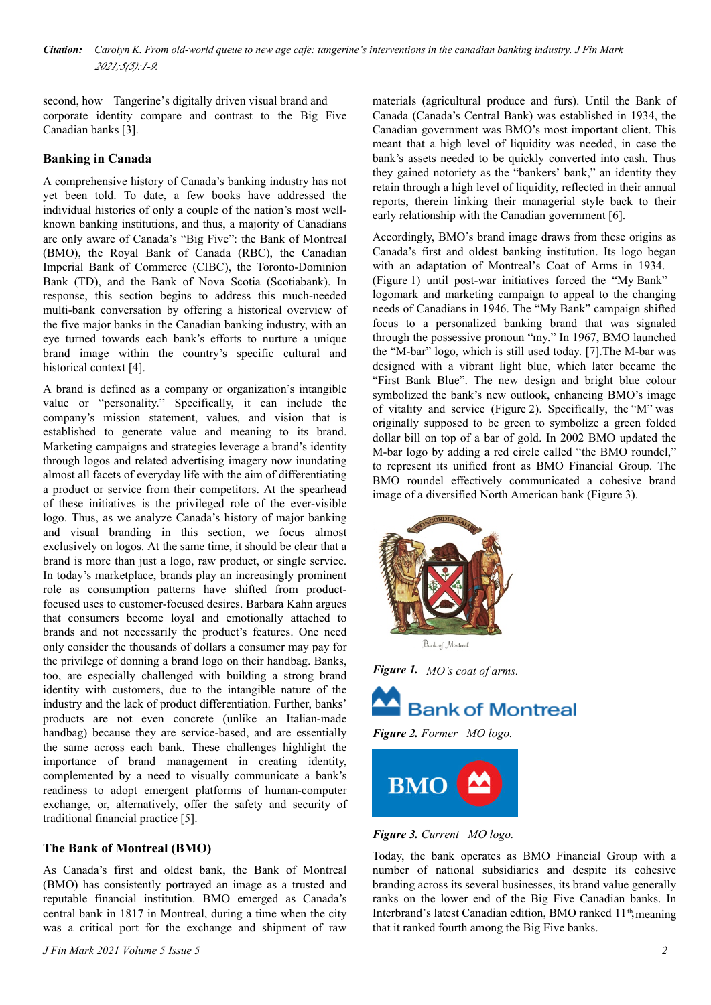corporate identity compare and contrast to the Big Five Canadian banks [3].

### **Banking in Canada**

A comprehensive history of Canada's banking industry has not yet been told. To date, a few books have addressed the individual histories of only a couple of the nation's most wellknown banking institutions, and thus, a majority of Canadians are only aware of Canada's "Big Five": the Bank of Montreal (BMO), the Royal Bank of Canada (RBC), the Canadian Imperial Bank of Commerce (CIBC), the Toronto-Dominion Bank (TD), and the Bank of Nova Scotia (Scotiabank). In response, this section begins to address this much-needed multi-bank conversation by offering a historical overview of the five major banks in the Canadian banking industry, with an eye turned towards each bank's efforts to nurture a unique brand image within the country's specific cultural and historical context [4].

A brand is defined as a company or organization's intangible value or "personality." Specifically, it can include the company's mission statement, values, and vision that is established to generate value and meaning to its brand. Marketing campaigns and strategies leverage a brand's identity through logos and related advertising imagery now inundating almost all facets of everyday life with the aim of differentiating a product or service from their competitors. At the spearhead of these initiatives is the privileged role of the ever-visible logo. Thus, as we analyze Canada's history of major banking and visual branding in this section, we focus almost exclusively on logos. At the same time, it should be clear that a brand is more than just a logo, raw product, or single service. In today's marketplace, brands play an increasingly prominent role as consumption patterns have shifted from productfocused uses to customer-focused desires. Barbara Kahn argues that consumers become loyal and emotionally attached to brands and not necessarily the product's features. One need only consider the thousands of dollars a consumer may pay for the privilege of donning a brand logo on their handbag. Banks, too, are especially challenged with building a strong brand identity with customers, due to the intangible nature of the industry and the lack of product differentiation. Further, banks' products are not even concrete (unlike an Italian-made handbag) because they are service-based, and are essentially the same across each bank. These challenges highlight the importance of brand management in creating identity, complemented by a need to visually communicate a bank's readiness to adopt emergent platforms of human-computer exchange, or, alternatively, offer the safety and security of traditional financial practice [5].

#### **The Bank of Montreal (BMO)**

As Canada's first and oldest bank, the Bank of Montreal (BMO) has consistently portrayed an image as a trusted and reputable financial institution. BMO emerged as Canada's central bank in 1817 in Montreal, during a time when the city was a critical port for the exchange and shipment of raw

second, how Tangerine's digitally driven visual brand and Tangericultural produce and furs). Until the Bank of Canada (Canada's Central Bank) was established in 1934, the Canadian government was BMO's most important client. This meant that a high level of liquidity was needed, in case the bank's assets needed to be quickly converted into cash. Thus they gained notoriety as the "bankers' bank," an identity they retain through a high level of liquidity, reflected in their annual reports, therein linking their managerial style back to their early relationship with the Canadian government [6].

> Accordingly, BMO's brand image draws from these origins as Canada's first and oldest banking institution. Its logo began with an adaptation of Montreal's Coat of Arms in 1934. (Figure 1) until post-war initiatives forced the "My Bank" logomark and marketing campaign to appeal to the changing needs of Canadians in 1946. The "My Bank" campaign shifted focus to a personalized banking brand that was signaled through the possessive pronoun "my." In 1967, BMO launched the "M-bar" logo, which is still used today. [7].The M-bar was designed with a vibrant light blue, which later became the "First Bank Blue". The new design and bright blue colour symbolized the bank's new outlook, enhancing BMO's image of vitality and service (Figure 2). Specifically, the "M" was originally supposed to be green to symbolize a green folded dollar bill on top of a bar of gold. In 2002 BMO updated the M-bar logo by adding a red circle called "the BMO roundel," to represent its unified front as BMO Financial Group. The BMO roundel effectively communicated a cohesive brand image of a diversified North American bank (Figure 3).







*Figure 2. Former %MO logo.*



#### *Figure 3. Current MO logo.*

Today, the bank operates as BMO Financial Group with a number of national subsidiaries and despite its cohesive branding across its several businesses, its brand value generally ranks on the lower end of the Big Five Canadian banks. In that it ranked fourth among the Big Five banks. Interbrand's latest Canadian edition, BMO ranked 11<sup>th</sup>, meaning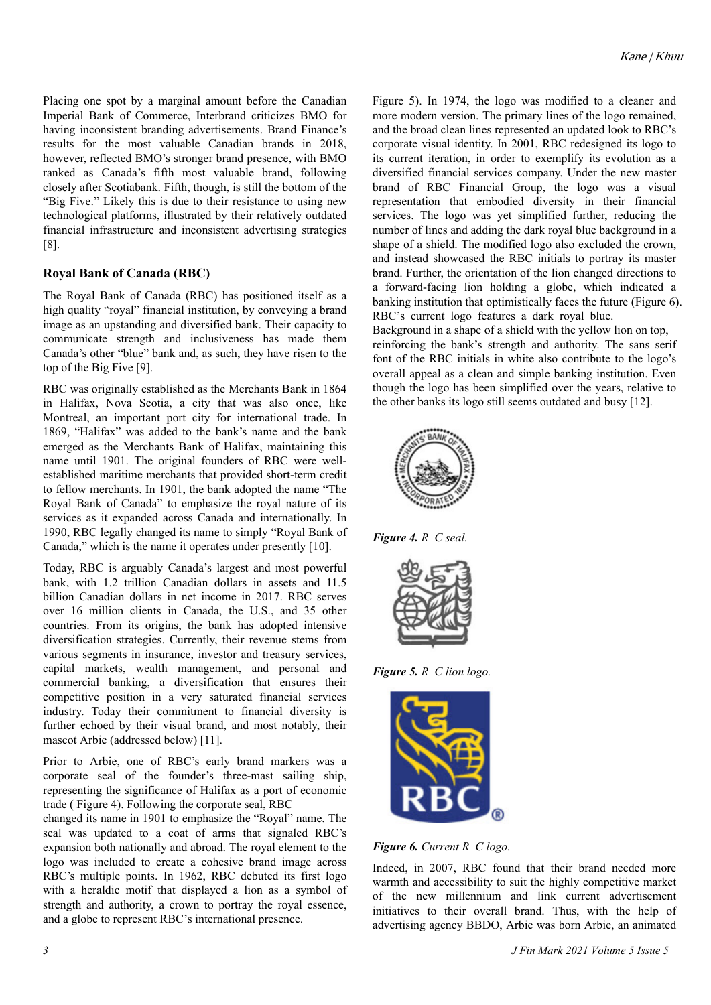Placing one spot by a marginal amount before the Canadian Imperial Bank of Commerce, Interbrand criticizes BMO for having inconsistent branding advertisements. Brand Finance's results for the most valuable Canadian brands in 2018, however, reflected BMO's stronger brand presence, with BMO ranked as Canada's fifth most valuable brand, following closely after Scotiabank. Fifth, though, is still the bottom of the "Big Five." Likely this is due to their resistance to using new technological platforms, illustrated by their relatively outdated financial infrastructure and inconsistent advertising strategies [8].

### **Royal Bank of Canada (RBC)**

The Royal Bank of Canada (RBC) has positioned itself as a high quality "royal" financial institution, by conveying a brand image as an upstanding and diversified bank. Their capacity to communicate strength and inclusiveness has made them Canada's other "blue" bank and, as such, they have risen to the top of the Big Five [9].

RBC was originally established as the Merchants Bank in 1864 in Halifax, Nova Scotia, a city that was also once, like Montreal, an important port city for international trade. In 1869, "Halifax" was added to the bank's name and the bank emerged as the Merchants Bank of Halifax, maintaining this name until 1901. The original founders of RBC were wellestablished maritime merchants that provided short-term credit to fellow merchants. In 1901, the bank adopted the name "The Royal Bank of Canada" to emphasize the royal nature of its services as it expanded across Canada and internationally. In 1990, RBC legally changed its name to simply "Royal Bank of Canada," which is the name it operates under presently [10].

Today, RBC is arguably Canada's largest and most powerful bank, with 1.2 trillion Canadian dollars in assets and 11.5 billion Canadian dollars in net income in 2017. RBC serves over 16 million clients in Canada, the U.S., and 35 other countries. From its origins, the bank has adopted intensive diversification strategies. Currently, their revenue stems from various segments in insurance, investor and treasury services, capital markets, wealth management, and personal and commercial banking, a diversification that ensures their competitive position in a very saturated financial services industry. Today their commitment to financial diversity is further echoed by their visual brand, and most notably, their mascot Arbie (addressed below) [11].

Prior to Arbie, one of RBC's early brand markers was a corporate seal of the founder's three-mast sailing ship, representing the significance of Halifax as a port of economic trade ( Figure 4). Following the corporate seal, RBC

changed its name in 1901 to emphasize the "Royal" name. The seal was updated to a coat of arms that signaled RBC's expansion both nationally and abroad. The royal element to the logo was included to create a cohesive brand image across RBC's multiple points. In 1962, RBC debuted its first logo with a heraldic motif that displayed a lion as a symbol of strength and authority, a crown to portray the royal essence, and a globe to represent RBC's international presence.

Figure 5). In 1974, the logo was modified to a cleaner and more modern version. The primary lines of the logo remained, and the broad clean lines represented an updated look to RBC's corporate visual identity. In 2001, RBC redesigned its logo to its current iteration, in order to exemplify its evolution as a diversified financial services company. Under the new master brand of RBC Financial Group, the logo was a visual representation that embodied diversity in their financial services. The logo was yet simplified further, reducing the number of lines and adding the dark royal blue background in a shape of a shield. The modified logo also excluded the crown, and instead showcased the RBC initials to portray its master brand. Further, the orientation of the lion changed directions to a forward-facing lion holding a globe, which indicated a banking institution that optimistically faces the future (Figure 6). RBC's current logo features a dark royal blue.

Background in a shape of a shield with the yellow lion on top, reinforcing the bank's strength and authority. The sans serif font of the RBC initials in white also contribute to the logo's overall appeal as a clean and simple banking institution. Even though the logo has been simplified over the years, relative to the other banks its logo still seems outdated and busy [12].



**Figure 4.** R C seal.



*Figure 5. R C lion logo.* 



*Figure 6. Current R%C logo.*

Indeed, in 2007, RBC found that their brand needed more warmth and accessibility to suit the highly competitive market of the new millennium and link current advertisement initiatives to their overall brand. Thus, with the help of advertising agency BBDO, Arbie was born Arbie, an animated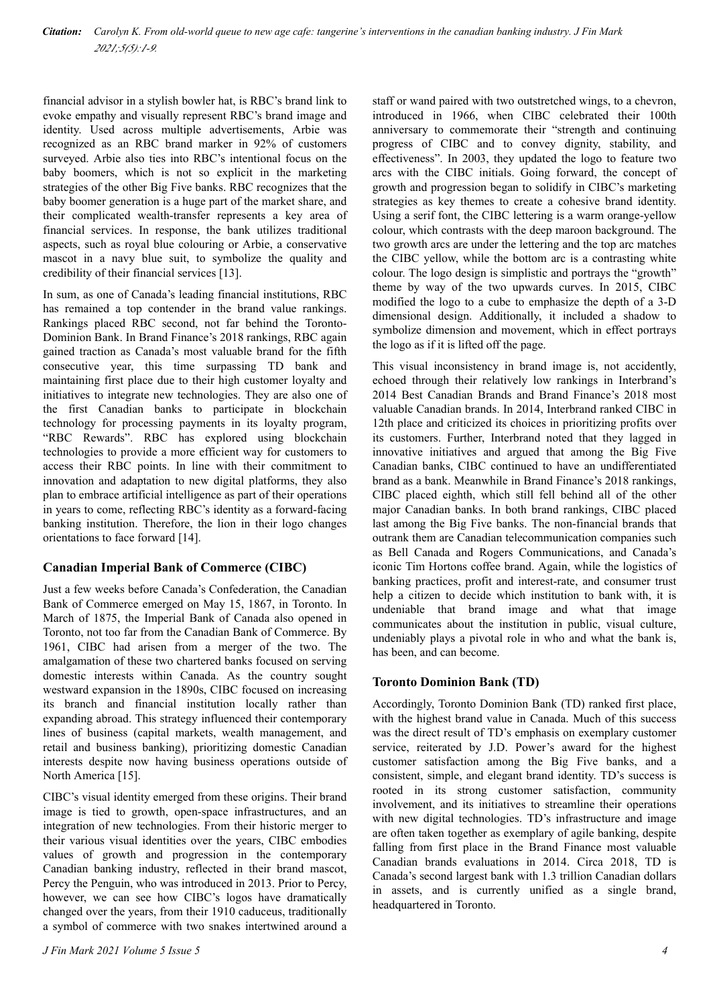financial advisor in a stylish bowler hat, is RBC's brand link to evoke empathy and visually represent RBC's brand image and identity. Used across multiple advertisements, Arbie was recognized as an RBC brand marker in 92% of customers surveyed. Arbie also ties into RBC's intentional focus on the baby boomers, which is not so explicit in the marketing strategies of the other Big Five banks. RBC recognizes that the baby boomer generation is a huge part of the market share, and their complicated wealth-transfer represents a key area of financial services. In response, the bank utilizes traditional aspects, such as royal blue colouring or Arbie, a conservative mascot in a navy blue suit, to symbolize the quality and credibility of their financial services [13].

In sum, as one of Canada's leading financial institutions, RBC has remained a top contender in the brand value rankings. Rankings placed RBC second, not far behind the Toronto-Dominion Bank. In Brand Finance's 2018 rankings, RBC again gained traction as Canada's most valuable brand for the fifth consecutive year, this time surpassing TD bank and maintaining first place due to their high customer loyalty and initiatives to integrate new technologies. They are also one of the first Canadian banks to participate in blockchain technology for processing payments in its loyalty program, "RBC Rewards". RBC has explored using blockchain technologies to provide a more efficient way for customers to access their RBC points. In line with their commitment to innovation and adaptation to new digital platforms, they also plan to embrace artificial intelligence as part of their operations in years to come, reflecting RBC's identity as a forward-facing banking institution. Therefore, the lion in their logo changes orientations to face forward [14].

### **Canadian Imperial Bank of Commerce (CIBC)**

Just a few weeks before Canada's Confederation, the Canadian Bank of Commerce emerged on May 15, 1867, in Toronto. In March of 1875, the Imperial Bank of Canada also opened in Toronto, not too far from the Canadian Bank of Commerce. By 1961, CIBC had arisen from a merger of the two. The amalgamation of these two chartered banks focused on serving domestic interests within Canada. As the country sought westward expansion in the 1890s, CIBC focused on increasing its branch and financial institution locally rather than expanding abroad. This strategy influenced their contemporary lines of business (capital markets, wealth management, and retail and business banking), prioritizing domestic Canadian interests despite now having business operations outside of North America [15].

CIBC's visual identity emerged from these origins. Their brand image is tied to growth, open-space infrastructures, and an integration of new technologies. From their historic merger to their various visual identities over the years, CIBC embodies values of growth and progression in the contemporary Canadian banking industry, reflected in their brand mascot, Percy the Penguin, who was introduced in 2013. Prior to Percy, however, we can see how CIBC's logos have dramatically changed over the years, from their 1910 caduceus, traditionally a symbol of commerce with two snakes intertwined around a staff or wand paired with two outstretched wings, to a chevron, introduced in 1966, when CIBC celebrated their 100th anniversary to commemorate their "strength and continuing progress of CIBC and to convey dignity, stability, and effectiveness". In 2003, they updated the logo to feature two arcs with the CIBC initials. Going forward, the concept of growth and progression began to solidify in CIBC's marketing strategies as key themes to create a cohesive brand identity. Using a serif font, the CIBC lettering is a warm orange-yellow colour, which contrasts with the deep maroon background. The two growth arcs are under the lettering and the top arc matches the CIBC yellow, while the bottom arc is a contrasting white colour. The logo design is simplistic and portrays the "growth" theme by way of the two upwards curves. In 2015, CIBC modified the logo to a cube to emphasize the depth of a 3-D dimensional design. Additionally, it included a shadow to symbolize dimension and movement, which in effect portrays the logo as if it is lifted off the page.

This visual inconsistency in brand image is, not accidently, echoed through their relatively low rankings in Interbrand's 2014 Best Canadian Brands and Brand Finance's 2018 most valuable Canadian brands. In 2014, Interbrand ranked CIBC in 12th place and criticized its choices in prioritizing profits over its customers. Further, Interbrand noted that they lagged in innovative initiatives and argued that among the Big Five Canadian banks, CIBC continued to have an undifferentiated brand as a bank. Meanwhile in Brand Finance's 2018 rankings, CIBC placed eighth, which still fell behind all of the other major Canadian banks. In both brand rankings, CIBC placed last among the Big Five banks. The non-financial brands that outrank them are Canadian telecommunication companies such as Bell Canada and Rogers Communications, and Canada's iconic Tim Hortons coffee brand. Again, while the logistics of banking practices, profit and interest-rate, and consumer trust help a citizen to decide which institution to bank with, it is undeniable that brand image and what that image communicates about the institution in public, visual culture, undeniably plays a pivotal role in who and what the bank is, has been, and can become.

### **Toronto Dominion Bank (TD)**

Accordingly, Toronto Dominion Bank (TD) ranked first place, with the highest brand value in Canada. Much of this success was the direct result of TD's emphasis on exemplary customer service, reiterated by J.D. Power's award for the highest customer satisfaction among the Big Five banks, and a consistent, simple, and elegant brand identity. TD's success is rooted in its strong customer satisfaction, community involvement, and its initiatives to streamline their operations with new digital technologies. TD's infrastructure and image are often taken together as exemplary of agile banking, despite falling from first place in the Brand Finance most valuable Canadian brands evaluations in 2014. Circa 2018, TD is Canada's second largest bank with 1.3 trillion Canadian dollars in assets, and is currently unified as a single brand, headquartered in Toronto.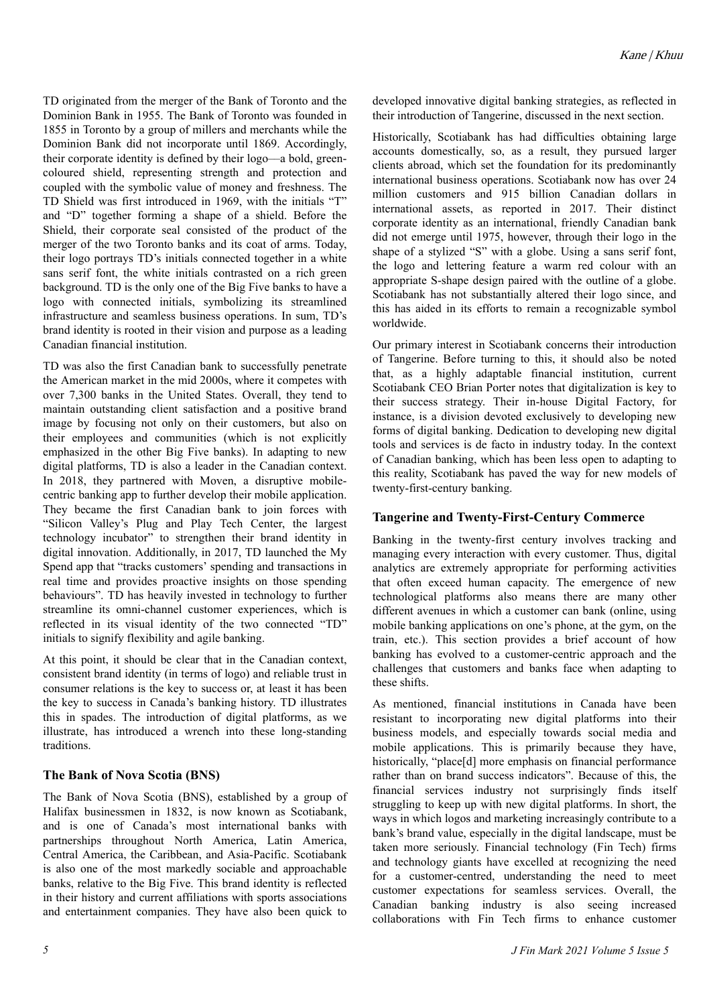TD originated from the merger of the Bank of Toronto and the Dominion Bank in 1955. The Bank of Toronto was founded in 1855 in Toronto by a group of millers and merchants while the Dominion Bank did not incorporate until 1869. Accordingly, their corporate identity is defined by their logo––a bold, greencoloured shield, representing strength and protection and coupled with the symbolic value of money and freshness. The TD Shield was first introduced in 1969, with the initials "T" and "D" together forming a shape of a shield. Before the Shield, their corporate seal consisted of the product of the merger of the two Toronto banks and its coat of arms. Today, their logo portrays TD's initials connected together in a white sans serif font, the white initials contrasted on a rich green background. TD is the only one of the Big Five banks to have a logo with connected initials, symbolizing its streamlined infrastructure and seamless business operations. In sum, TD's brand identity is rooted in their vision and purpose as a leading Canadian financial institution.

TD was also the first Canadian bank to successfully penetrate the American market in the mid 2000s, where it competes with over 7,300 banks in the United States. Overall, they tend to maintain outstanding client satisfaction and a positive brand image by focusing not only on their customers, but also on their employees and communities (which is not explicitly emphasized in the other Big Five banks). In adapting to new digital platforms, TD is also a leader in the Canadian context. In 2018, they partnered with Moven, a disruptive mobilecentric banking app to further develop their mobile application. They became the first Canadian bank to join forces with "Silicon Valley's Plug and Play Tech Center, the largest technology incubator" to strengthen their brand identity in digital innovation. Additionally, in 2017, TD launched the My Spend app that "tracks customers' spending and transactions in real time and provides proactive insights on those spending behaviours". TD has heavily invested in technology to further streamline its omni-channel customer experiences, which is reflected in its visual identity of the two connected "TD" initials to signify flexibility and agile banking.

At this point, it should be clear that in the Canadian context, consistent brand identity (in terms of logo) and reliable trust in consumer relations is the key to success or, at least it has been the key to success in Canada's banking history. TD illustrates this in spades. The introduction of digital platforms, as we illustrate, has introduced a wrench into these long-standing traditions.

### **The Bank of Nova Scotia (BNS)**

The Bank of Nova Scotia (BNS), established by a group of Halifax businessmen in 1832, is now known as Scotiabank, and is one of Canada's most international banks with partnerships throughout North America, Latin America, Central America, the Caribbean, and Asia-Pacific. Scotiabank is also one of the most markedly sociable and approachable banks, relative to the Big Five. This brand identity is reflected in their history and current affiliations with sports associations and entertainment companies. They have also been quick to

developed innovative digital banking strategies, as reflected in their introduction of Tangerine, discussed in the next section.

Historically, Scotiabank has had difficulties obtaining large accounts domestically, so, as a result, they pursued larger clients abroad, which set the foundation for its predominantly international business operations. Scotiabank now has over 24 million customers and 915 billion Canadian dollars in international assets, as reported in 2017. Their distinct corporate identity as an international, friendly Canadian bank did not emerge until 1975, however, through their logo in the shape of a stylized "S" with a globe. Using a sans serif font, the logo and lettering feature a warm red colour with an appropriate S-shape design paired with the outline of a globe. Scotiabank has not substantially altered their logo since, and this has aided in its efforts to remain a recognizable symbol worldwide.

Our primary interest in Scotiabank concerns their introduction of Tangerine. Before turning to this, it should also be noted that, as a highly adaptable financial institution, current Scotiabank CEO Brian Porter notes that digitalization is key to their success strategy. Their in-house Digital Factory, for instance, is a division devoted exclusively to developing new forms of digital banking. Dedication to developing new digital tools and services is de facto in industry today. In the context of Canadian banking, which has been less open to adapting to this reality, Scotiabank has paved the way for new models of twenty-first-century banking.

#### **Tangerine and Twenty-First-Century Commerce**

Banking in the twenty-first century involves tracking and managing every interaction with every customer. Thus, digital analytics are extremely appropriate for performing activities that often exceed human capacity. The emergence of new technological platforms also means there are many other different avenues in which a customer can bank (online, using mobile banking applications on one's phone, at the gym, on the train, etc.). This section provides a brief account of how banking has evolved to a customer-centric approach and the challenges that customers and banks face when adapting to these shifts.

As mentioned, financial institutions in Canada have been resistant to incorporating new digital platforms into their business models, and especially towards social media and mobile applications. This is primarily because they have, historically, "place[d] more emphasis on financial performance rather than on brand success indicators". Because of this, the financial services industry not surprisingly finds itself struggling to keep up with new digital platforms. In short, the ways in which logos and marketing increasingly contribute to a bank's brand value, especially in the digital landscape, must be taken more seriously. Financial technology (Fin Tech) firms and technology giants have excelled at recognizing the need for a customer-centred, understanding the need to meet customer expectations for seamless services. Overall, the Canadian banking industry is also seeing increased collaborations with Fin Tech firms to enhance customer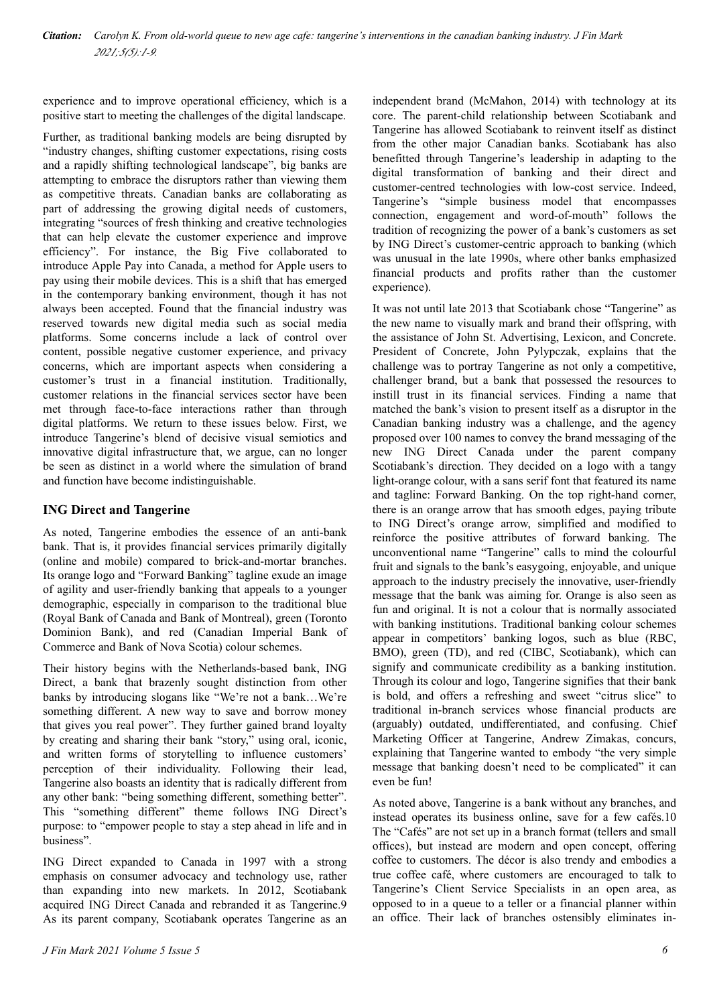experience and to improve operational efficiency, which is a positive start to meeting the challenges of the digital landscape.

Further, as traditional banking models are being disrupted by "industry changes, shifting customer expectations, rising costs and a rapidly shifting technological landscape", big banks are attempting to embrace the disruptors rather than viewing them as competitive threats. Canadian banks are collaborating as part of addressing the growing digital needs of customers, integrating "sources of fresh thinking and creative technologies that can help elevate the customer experience and improve efficiency". For instance, the Big Five collaborated to introduce Apple Pay into Canada, a method for Apple users to pay using their mobile devices. This is a shift that has emerged in the contemporary banking environment, though it has not always been accepted. Found that the financial industry was reserved towards new digital media such as social media platforms. Some concerns include a lack of control over content, possible negative customer experience, and privacy concerns, which are important aspects when considering a customer's trust in a financial institution. Traditionally, customer relations in the financial services sector have been met through face-to-face interactions rather than through digital platforms. We return to these issues below. First, we introduce Tangerine's blend of decisive visual semiotics and innovative digital infrastructure that, we argue, can no longer be seen as distinct in a world where the simulation of brand and function have become indistinguishable.

### **ING Direct and Tangerine**

As noted, Tangerine embodies the essence of an anti-bank bank. That is, it provides financial services primarily digitally (online and mobile) compared to brick-and-mortar branches. Its orange logo and "Forward Banking" tagline exude an image of agility and user-friendly banking that appeals to a younger demographic, especially in comparison to the traditional blue (Royal Bank of Canada and Bank of Montreal), green (Toronto Dominion Bank), and red (Canadian Imperial Bank of Commerce and Bank of Nova Scotia) colour schemes.

Their history begins with the Netherlands-based bank, ING Direct, a bank that brazenly sought distinction from other banks by introducing slogans like "We're not a bank…We're something different. A new way to save and borrow money that gives you real power". They further gained brand loyalty by creating and sharing their bank "story," using oral, iconic, and written forms of storytelling to influence customers' perception of their individuality. Following their lead, Tangerine also boasts an identity that is radically different from any other bank: "being something different, something better". This "something different" theme follows ING Direct's purpose: to "empower people to stay a step ahead in life and in business".

ING Direct expanded to Canada in 1997 with a strong emphasis on consumer advocacy and technology use, rather than expanding into new markets. In 2012, Scotiabank acquired ING Direct Canada and rebranded it as Tangerine.9 As its parent company, Scotiabank operates Tangerine as an

independent brand (McMahon, 2014) with technology at its core. The parent-child relationship between Scotiabank and Tangerine has allowed Scotiabank to reinvent itself as distinct from the other major Canadian banks. Scotiabank has also benefitted through Tangerine's leadership in adapting to the digital transformation of banking and their direct and customer-centred technologies with low-cost service. Indeed, Tangerine's "simple business model that encompasses connection, engagement and word-of-mouth" follows the tradition of recognizing the power of a bank's customers as set by ING Direct's customer-centric approach to banking (which was unusual in the late 1990s, where other banks emphasized financial products and profits rather than the customer experience).

It was not until late 2013 that Scotiabank chose "Tangerine" as the new name to visually mark and brand their offspring, with the assistance of John St. Advertising, Lexicon, and Concrete. President of Concrete, John Pylypczak, explains that the challenge was to portray Tangerine as not only a competitive, challenger brand, but a bank that possessed the resources to instill trust in its financial services. Finding a name that matched the bank's vision to present itself as a disruptor in the Canadian banking industry was a challenge, and the agency proposed over 100 names to convey the brand messaging of the new ING Direct Canada under the parent company Scotiabank's direction. They decided on a logo with a tangy light-orange colour, with a sans serif font that featured its name and tagline: Forward Banking. On the top right-hand corner, there is an orange arrow that has smooth edges, paying tribute to ING Direct's orange arrow, simplified and modified to reinforce the positive attributes of forward banking. The unconventional name "Tangerine" calls to mind the colourful fruit and signals to the bank's easygoing, enjoyable, and unique approach to the industry precisely the innovative, user-friendly message that the bank was aiming for. Orange is also seen as fun and original. It is not a colour that is normally associated with banking institutions. Traditional banking colour schemes appear in competitors' banking logos, such as blue (RBC, BMO), green (TD), and red (CIBC, Scotiabank), which can signify and communicate credibility as a banking institution. Through its colour and logo, Tangerine signifies that their bank is bold, and offers a refreshing and sweet "citrus slice" to traditional in-branch services whose financial products are (arguably) outdated, undifferentiated, and confusing. Chief Marketing Officer at Tangerine, Andrew Zimakas, concurs, explaining that Tangerine wanted to embody "the very simple message that banking doesn't need to be complicated" it can even be fun!

As noted above, Tangerine is a bank without any branches, and instead operates its business online, save for a few cafés.10 The "Cafés" are not set up in a branch format (tellers and small offices), but instead are modern and open concept, offering coffee to customers. The décor is also trendy and embodies a true coffee café, where customers are encouraged to talk to Tangerine's Client Service Specialists in an open area, as opposed to in a queue to a teller or a financial planner within an office. Their lack of branches ostensibly eliminates in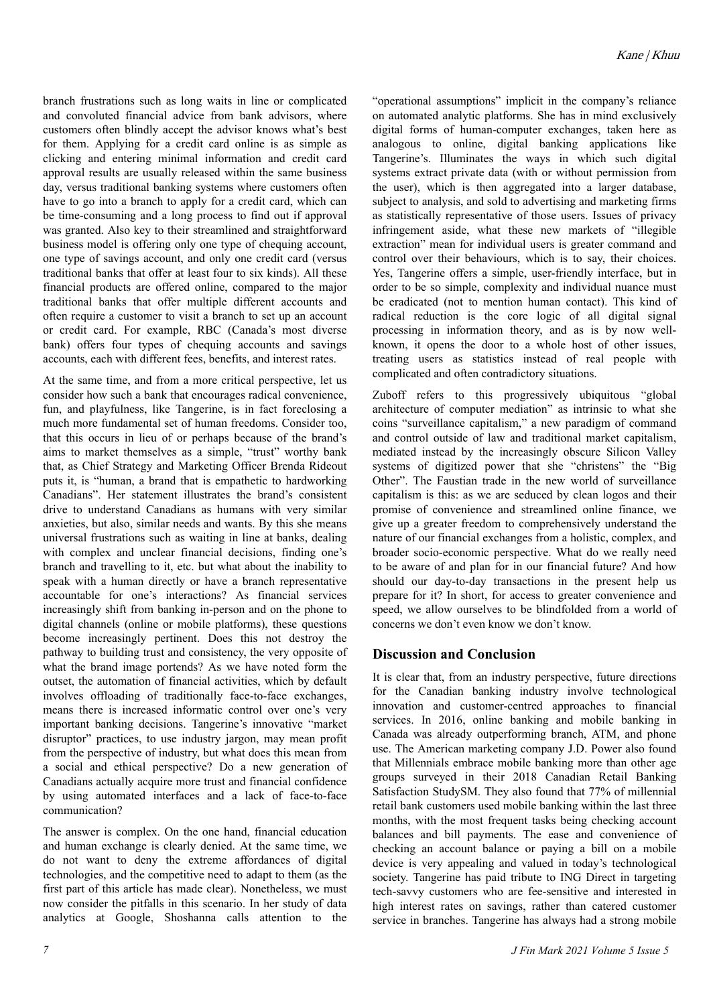branch frustrations such as long waits in line or complicated and convoluted financial advice from bank advisors, where customers often blindly accept the advisor knows what's best for them. Applying for a credit card online is as simple as clicking and entering minimal information and credit card approval results are usually released within the same business day, versus traditional banking systems where customers often have to go into a branch to apply for a credit card, which can be time-consuming and a long process to find out if approval was granted. Also key to their streamlined and straightforward business model is offering only one type of chequing account, one type of savings account, and only one credit card (versus traditional banks that offer at least four to six kinds). All these financial products are offered online, compared to the major traditional banks that offer multiple different accounts and often require a customer to visit a branch to set up an account or credit card. For example, RBC (Canada's most diverse bank) offers four types of chequing accounts and savings accounts, each with different fees, benefits, and interest rates.

At the same time, and from a more critical perspective, let us consider how such a bank that encourages radical convenience, fun, and playfulness, like Tangerine, is in fact foreclosing a much more fundamental set of human freedoms. Consider too, that this occurs in lieu of or perhaps because of the brand's aims to market themselves as a simple, "trust" worthy bank that, as Chief Strategy and Marketing Officer Brenda Rideout puts it, is "human, a brand that is empathetic to hardworking Canadians". Her statement illustrates the brand's consistent drive to understand Canadians as humans with very similar anxieties, but also, similar needs and wants. By this she means universal frustrations such as waiting in line at banks, dealing with complex and unclear financial decisions, finding one's branch and travelling to it, etc. but what about the inability to speak with a human directly or have a branch representative accountable for one's interactions? As financial services increasingly shift from banking in-person and on the phone to digital channels (online or mobile platforms), these questions become increasingly pertinent. Does this not destroy the pathway to building trust and consistency, the very opposite of what the brand image portends? As we have noted form the outset, the automation of financial activities, which by default involves offloading of traditionally face-to-face exchanges, means there is increased informatic control over one's very important banking decisions. Tangerine's innovative "market disruptor" practices, to use industry jargon, may mean profit from the perspective of industry, but what does this mean from a social and ethical perspective? Do a new generation of Canadians actually acquire more trust and financial confidence by using automated interfaces and a lack of face-to-face communication?

The answer is complex. On the one hand, financial education and human exchange is clearly denied. At the same time, we do not want to deny the extreme affordances of digital technologies, and the competitive need to adapt to them (as the first part of this article has made clear). Nonetheless, we must now consider the pitfalls in this scenario. In her study of data analytics at Google, Shoshanna calls attention to the

"operational assumptions" implicit in the company's reliance on automated analytic platforms. She has in mind exclusively digital forms of human-computer exchanges, taken here as analogous to online, digital banking applications like Tangerine's. Illuminates the ways in which such digital systems extract private data (with or without permission from the user), which is then aggregated into a larger database, subject to analysis, and sold to advertising and marketing firms as statistically representative of those users. Issues of privacy infringement aside, what these new markets of "illegible extraction" mean for individual users is greater command and control over their behaviours, which is to say, their choices. Yes, Tangerine offers a simple, user-friendly interface, but in order to be so simple, complexity and individual nuance must be eradicated (not to mention human contact). This kind of radical reduction is the core logic of all digital signal processing in information theory, and as is by now wellknown, it opens the door to a whole host of other issues, treating users as statistics instead of real people with complicated and often contradictory situations.

Zuboff refers to this progressively ubiquitous "global architecture of computer mediation" as intrinsic to what she coins "surveillance capitalism," a new paradigm of command and control outside of law and traditional market capitalism, mediated instead by the increasingly obscure Silicon Valley systems of digitized power that she "christens" the "Big Other". The Faustian trade in the new world of surveillance capitalism is this: as we are seduced by clean logos and their promise of convenience and streamlined online finance, we give up a greater freedom to comprehensively understand the nature of our financial exchanges from a holistic, complex, and broader socio-economic perspective. What do we really need to be aware of and plan for in our financial future? And how should our day-to-day transactions in the present help us prepare for it? In short, for access to greater convenience and speed, we allow ourselves to be blindfolded from a world of concerns we don't even know we don't know.

### **Discussion and Conclusion**

It is clear that, from an industry perspective, future directions for the Canadian banking industry involve technological innovation and customer-centred approaches to financial services. In 2016, online banking and mobile banking in Canada was already outperforming branch, ATM, and phone use. The American marketing company J.D. Power also found that Millennials embrace mobile banking more than other age groups surveyed in their 2018 Canadian Retail Banking Satisfaction StudySM. They also found that 77% of millennial retail bank customers used mobile banking within the last three months, with the most frequent tasks being checking account balances and bill payments. The ease and convenience of checking an account balance or paying a bill on a mobile device is very appealing and valued in today's technological society. Tangerine has paid tribute to ING Direct in targeting tech-savvy customers who are fee-sensitive and interested in high interest rates on savings, rather than catered customer service in branches. Tangerine has always had a strong mobile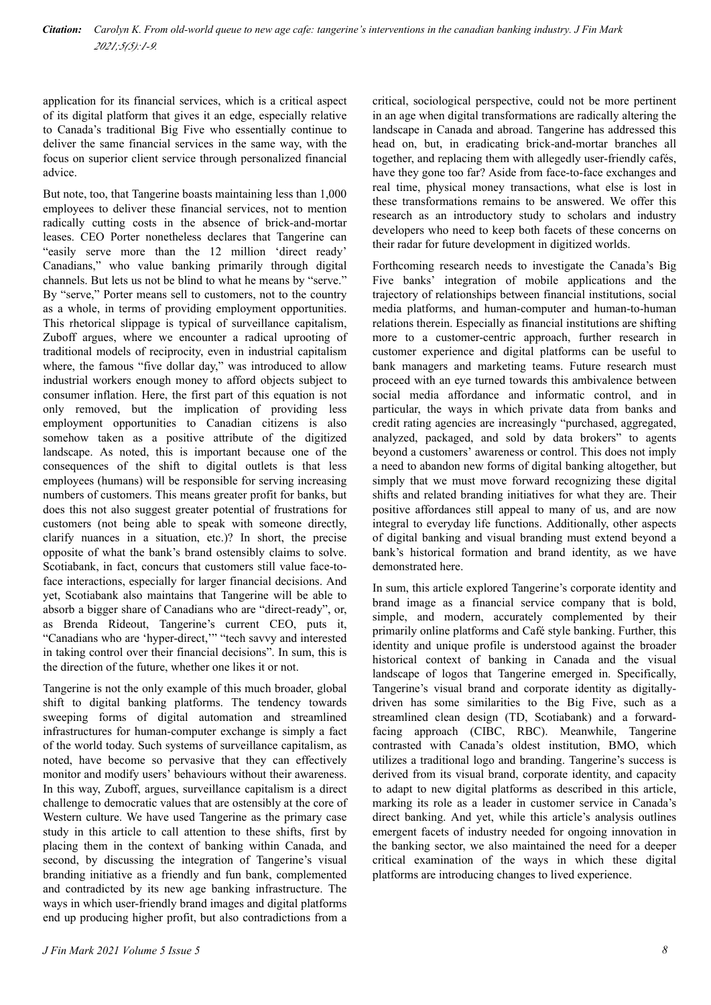application for its financial services, which is a critical aspect of its digital platform that gives it an edge, especially relative to Canada's traditional Big Five who essentially continue to deliver the same financial services in the same way, with the focus on superior client service through personalized financial advice.

But note, too, that Tangerine boasts maintaining less than 1,000 employees to deliver these financial services, not to mention radically cutting costs in the absence of brick-and-mortar leases. CEO Porter nonetheless declares that Tangerine can "easily serve more than the 12 million 'direct ready' Canadians," who value banking primarily through digital channels. But lets us not be blind to what he means by "serve." By "serve," Porter means sell to customers, not to the country as a whole, in terms of providing employment opportunities. This rhetorical slippage is typical of surveillance capitalism, Zuboff argues, where we encounter a radical uprooting of traditional models of reciprocity, even in industrial capitalism where, the famous "five dollar day," was introduced to allow industrial workers enough money to afford objects subject to consumer inflation. Here, the first part of this equation is not only removed, but the implication of providing less employment opportunities to Canadian citizens is also somehow taken as a positive attribute of the digitized landscape. As noted, this is important because one of the consequences of the shift to digital outlets is that less employees (humans) will be responsible for serving increasing numbers of customers. This means greater profit for banks, but does this not also suggest greater potential of frustrations for customers (not being able to speak with someone directly, clarify nuances in a situation, etc.)? In short, the precise opposite of what the bank's brand ostensibly claims to solve. Scotiabank, in fact, concurs that customers still value face-toface interactions, especially for larger financial decisions. And yet, Scotiabank also maintains that Tangerine will be able to absorb a bigger share of Canadians who are "direct-ready", or, as Brenda Rideout, Tangerine's current CEO, puts it, "Canadians who are 'hyper-direct,'" "tech savvy and interested in taking control over their financial decisions". In sum, this is the direction of the future, whether one likes it or not.

Tangerine is not the only example of this much broader, global shift to digital banking platforms. The tendency towards sweeping forms of digital automation and streamlined infrastructures for human-computer exchange is simply a fact of the world today. Such systems of surveillance capitalism, as noted, have become so pervasive that they can effectively monitor and modify users' behaviours without their awareness. In this way, Zuboff, argues, surveillance capitalism is a direct challenge to democratic values that are ostensibly at the core of Western culture. We have used Tangerine as the primary case study in this article to call attention to these shifts, first by placing them in the context of banking within Canada, and second, by discussing the integration of Tangerine's visual branding initiative as a friendly and fun bank, complemented and contradicted by its new age banking infrastructure. The ways in which user-friendly brand images and digital platforms end up producing higher profit, but also contradictions from a

critical, sociological perspective, could not be more pertinent in an age when digital transformations are radically altering the landscape in Canada and abroad. Tangerine has addressed this head on, but, in eradicating brick-and-mortar branches all together, and replacing them with allegedly user-friendly cafés, have they gone too far? Aside from face-to-face exchanges and real time, physical money transactions, what else is lost in these transformations remains to be answered. We offer this research as an introductory study to scholars and industry developers who need to keep both facets of these concerns on their radar for future development in digitized worlds.

Forthcoming research needs to investigate the Canada's Big Five banks' integration of mobile applications and the trajectory of relationships between financial institutions, social media platforms, and human-computer and human-to-human relations therein. Especially as financial institutions are shifting more to a customer-centric approach, further research in customer experience and digital platforms can be useful to bank managers and marketing teams. Future research must proceed with an eye turned towards this ambivalence between social media affordance and informatic control, and in particular, the ways in which private data from banks and credit rating agencies are increasingly "purchased, aggregated, analyzed, packaged, and sold by data brokers" to agents beyond a customers' awareness or control. This does not imply a need to abandon new forms of digital banking altogether, but simply that we must move forward recognizing these digital shifts and related branding initiatives for what they are. Their positive affordances still appeal to many of us, and are now integral to everyday life functions. Additionally, other aspects of digital banking and visual branding must extend beyond a bank's historical formation and brand identity, as we have demonstrated here.

In sum, this article explored Tangerine's corporate identity and brand image as a financial service company that is bold, simple, and modern, accurately complemented by their primarily online platforms and Café style banking. Further, this identity and unique profile is understood against the broader historical context of banking in Canada and the visual landscape of logos that Tangerine emerged in. Specifically, Tangerine's visual brand and corporate identity as digitallydriven has some similarities to the Big Five, such as a streamlined clean design (TD, Scotiabank) and a forwardfacing approach (CIBC, RBC). Meanwhile, Tangerine contrasted with Canada's oldest institution, BMO, which utilizes a traditional logo and branding. Tangerine's success is derived from its visual brand, corporate identity, and capacity to adapt to new digital platforms as described in this article, marking its role as a leader in customer service in Canada's direct banking. And yet, while this article's analysis outlines emergent facets of industry needed for ongoing innovation in the banking sector, we also maintained the need for a deeper critical examination of the ways in which these digital platforms are introducing changes to lived experience.